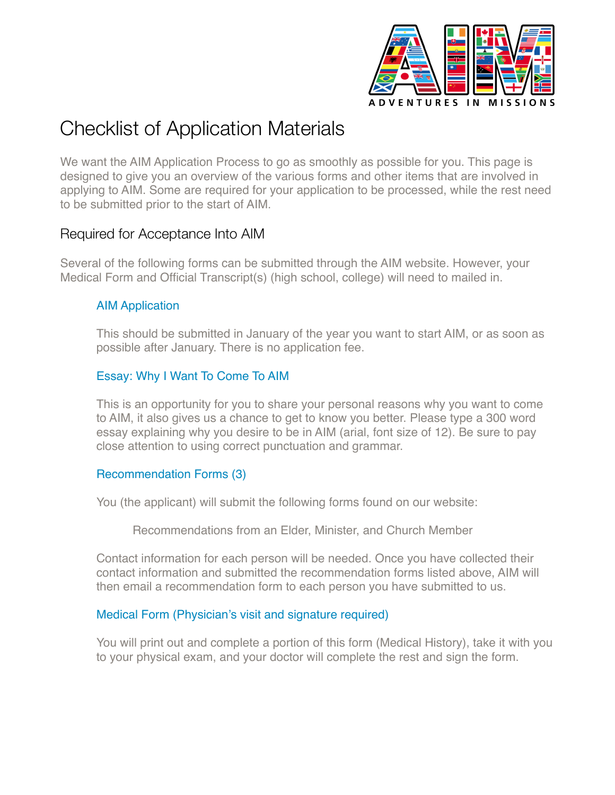

# Checklist of Application Materials

We want the AIM Application Process to go as smoothly as possible for you. This page is designed to give you an overview of the various forms and other items that are involved in applying to AIM. Some are required for your application to be processed, while the rest need to be submitted prior to the start of AIM.

# Required for Acceptance Into AIM

Several of the following forms can be submitted through the AIM website. However, your Medical Form and Official Transcript(s) (high school, college) will need to mailed in.

### AIM Application

This should be submitted in January of the year you want to start AIM, or as soon as possible after January. There is no application fee.

# Essay: Why I Want To Come To AIM

This is an opportunity for you to share your personal reasons why you want to come to AIM, it also gives us a chance to get to know you better. Please type a 300 word essay explaining why you desire to be in AIM (arial, font size of 12). Be sure to pay close attention to using correct punctuation and grammar.

## Recommendation Forms (3)

You (the applicant) will submit the following forms found on our website:

Recommendations from an Elder, Minister, and Church Member

Contact information for each person will be needed. Once you have collected their contact information and submitted the recommendation forms listed above, AIM will then email a recommendation form to each person you have submitted to us.

## Medical Form (Physician's visit and signature required)

You will print out and complete a portion of this form (Medical History), take it with you to your physical exam, and your doctor will complete the rest and sign the form.